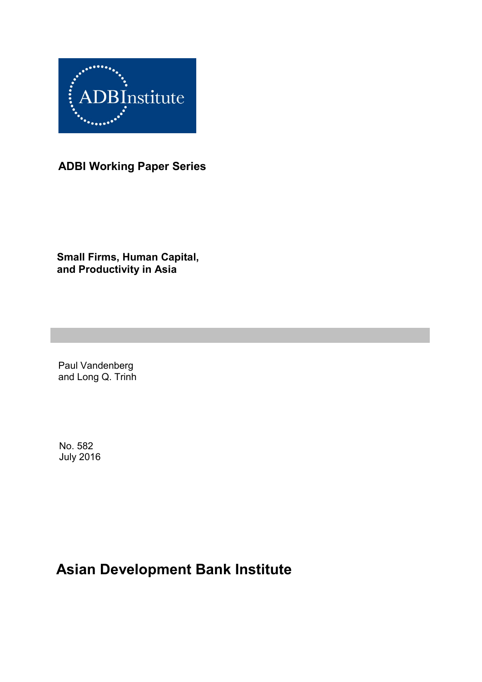

**ADBI Working Paper Series**

**Small Firms, Human Capital, and Productivity in Asia**

Paul Vandenberg and Long Q. Trinh

No. 582 July 2016

# **Asian Development Bank Institute**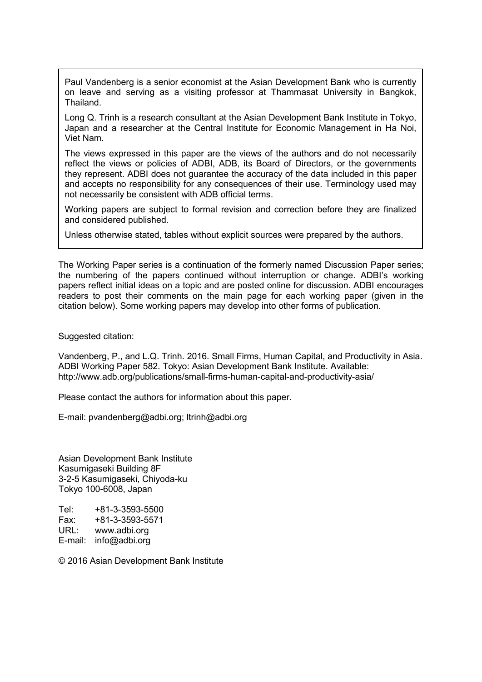Paul Vandenberg is a senior economist at the Asian Development Bank who is currently on leave and serving as a visiting professor at Thammasat University in Bangkok, Thailand.

Long Q. Trinh is a research consultant at the Asian Development Bank Institute in Tokyo, Japan and a researcher at the Central Institute for Economic Management in Ha Noi, Viet Nam.

The views expressed in this paper are the views of the authors and do not necessarily reflect the views or policies of ADBI, ADB, its Board of Directors, or the governments they represent. ADBI does not quarantee the accuracy of the data included in this paper and accepts no responsibility for any consequences of their use. Terminology used may not necessarily be consistent with ADB official terms.

Working papers are subject to formal revision and correction before they are finalized and considered published.

Unless otherwise stated, tables without explicit sources were prepared by the authors.

The Working Paper series is a continuation of the formerly named Discussion Paper series; the numbering of the papers continued without interruption or change. ADBI's working papers reflect initial ideas on a topic and are posted online for discussion. ADBI encourages readers to post their comments on the main page for each working paper (given in the citation below). Some working papers may develop into other forms of publication.

Suggested citation:

Vandenberg, P., and L.Q. Trinh. 2016. Small Firms, Human Capital, and Productivity in Asia. ADBI Working Paper 582. Tokyo: Asian Development Bank Institute. Available: http://www.adb.org/publications/small-firms-human-capital-and-productivity-asia/

Please contact the authors for information about this paper.

E-mail: pvandenberg@adbi.org; ltrinh@adbi.org

Asian Development Bank Institute Kasumigaseki Building 8F 3-2-5 Kasumigaseki, Chiyoda-ku Tokyo 100-6008, Japan

Tel: +81-3-3593-5500<br>Fax: +81-3-3593-5571 Fax: +81-3-3593-5571 URL: www.adbi.org E-mail: info@adbi.org

© 2016 Asian Development Bank Institute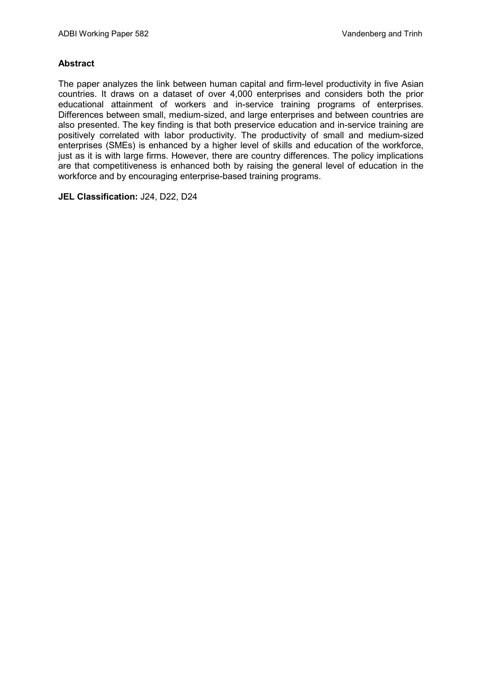#### **Abstract**

The paper analyzes the link between human capital and firm-level productivity in five Asian countries. It draws on a dataset of over 4,000 enterprises and considers both the prior educational attainment of workers and in-service training programs of enterprises. Differences between small, medium-sized, and large enterprises and between countries are also presented. The key finding is that both preservice education and in-service training are positively correlated with labor productivity. The productivity of small and medium-sized enterprises (SMEs) is enhanced by a higher level of skills and education of the workforce, just as it is with large firms. However, there are country differences. The policy implications are that competitiveness is enhanced both by raising the general level of education in the workforce and by encouraging enterprise-based training programs.

**JEL Classification:** J24, D22, D24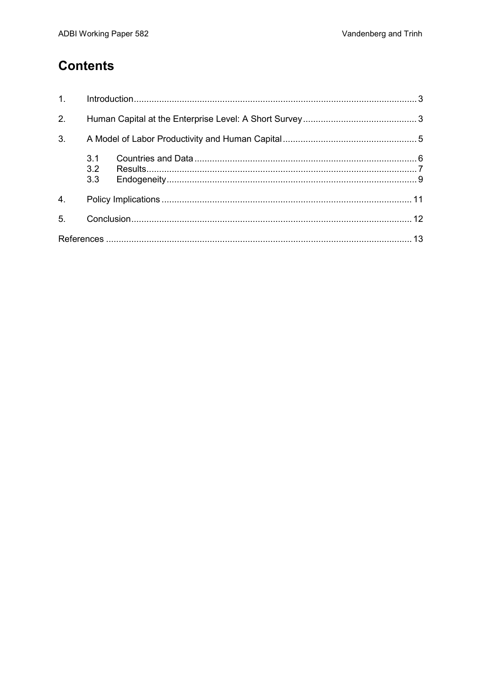### **Contents**

| 2. |                   |  |  |  |  |
|----|-------------------|--|--|--|--|
| 3. |                   |  |  |  |  |
|    | 3.1<br>3.2<br>3.3 |  |  |  |  |
| 4. |                   |  |  |  |  |
| 5. |                   |  |  |  |  |
|    |                   |  |  |  |  |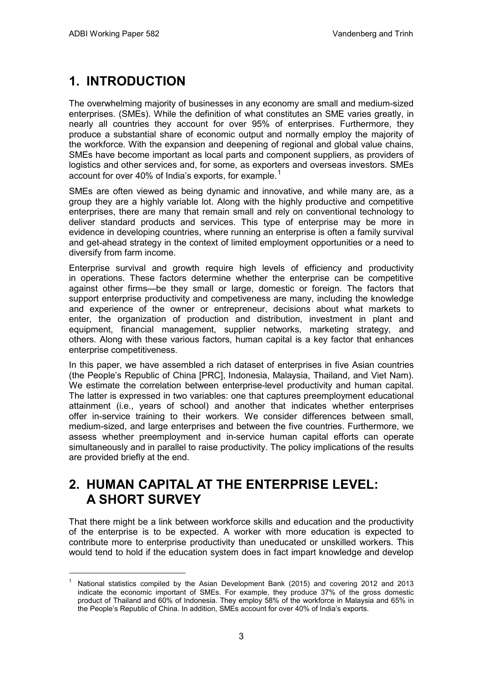$\ddot{ }$ 

## <span id="page-4-0"></span>**1. INTRODUCTION**

The overwhelming majority of businesses in any economy are small and medium-sized enterprises. (SMEs). While the definition of what constitutes an SME varies greatly, in nearly all countries they account for over 95% of enterprises. Furthermore, they produce a substantial share of economic output and normally employ the majority of the workforce. With the expansion and deepening of regional and global value chains, SMEs have become important as local parts and component suppliers, as providers of logistics and other services and, for some, as exporters and overseas investors. SMEs account for over 40% of India's exports, for example.<sup>[1](#page-4-2)</sup>

SMEs are often viewed as being dynamic and innovative, and while many are, as a group they are a highly variable lot. Along with the highly productive and competitive enterprises, there are many that remain small and rely on conventional technology to deliver standard products and services. This type of enterprise may be more in evidence in developing countries, where running an enterprise is often a family survival and get-ahead strategy in the context of limited employment opportunities or a need to diversify from farm income.

Enterprise survival and growth require high levels of efficiency and productivity in operations. These factors determine whether the enterprise can be competitive against other firms—be they small or large, domestic or foreign. The factors that support enterprise productivity and competiveness are many, including the knowledge and experience of the owner or entrepreneur, decisions about what markets to enter, the organization of production and distribution, investment in plant and equipment, financial management, supplier networks, marketing strategy, and others. Along with these various factors, human capital is a key factor that enhances enterprise competitiveness.

In this paper, we have assembled a rich dataset of enterprises in five Asian countries (the People's Republic of China [PRC], Indonesia, Malaysia, Thailand, and Viet Nam). We estimate the correlation between enterprise-level productivity and human capital. The latter is expressed in two variables: one that captures preemployment educational attainment (i.e., years of school) and another that indicates whether enterprises offer in-service training to their workers. We consider differences between small, medium-sized, and large enterprises and between the five countries. Furthermore, we assess whether preemployment and in-service human capital efforts can operate simultaneously and in parallel to raise productivity. The policy implications of the results are provided briefly at the end.

## <span id="page-4-1"></span>**2. HUMAN CAPITAL AT THE ENTERPRISE LEVEL: A SHORT SURVEY**

That there might be a link between workforce skills and education and the productivity of the enterprise is to be expected. A worker with more education is expected to contribute more to enterprise productivity than uneducated or unskilled workers. This would tend to hold if the education system does in fact impart knowledge and develop

<span id="page-4-2"></span><sup>1</sup> National statistics compiled by the Asian Development Bank (2015) and covering 2012 and 2013 indicate the economic important of SMEs. For example, they produce 37% of the gross domestic product of Thailand and 60% of Indonesia. They employ 58% of the workforce in Malaysia and 65% in the People's Republic of China. In addition, SMEs account for over 40% of India's exports.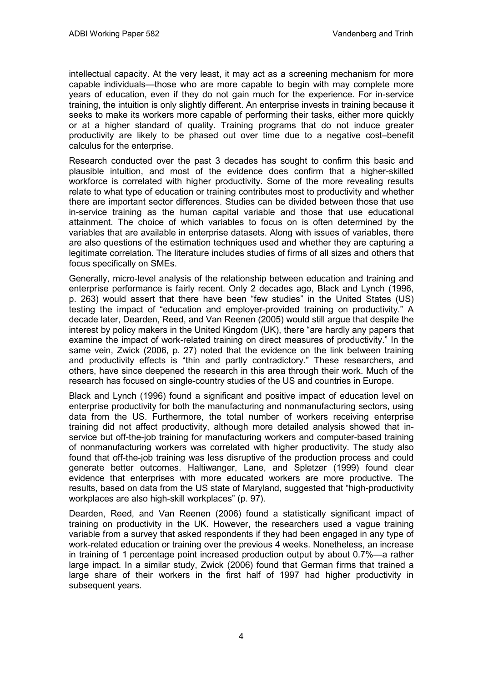intellectual capacity. At the very least, it may act as a screening mechanism for more capable individuals—those who are more capable to begin with may complete more years of education, even if they do not gain much for the experience. For in-service training, the intuition is only slightly different. An enterprise invests in training because it seeks to make its workers more capable of performing their tasks, either more quickly or at a higher standard of quality. Training programs that do not induce greater productivity are likely to be phased out over time due to a negative cost–benefit calculus for the enterprise.

Research conducted over the past 3 decades has sought to confirm this basic and plausible intuition, and most of the evidence does confirm that a higher-skilled workforce is correlated with higher productivity. Some of the more revealing results relate to what type of education or training contributes most to productivity and whether there are important sector differences. Studies can be divided between those that use in-service training as the human capital variable and those that use educational attainment. The choice of which variables to focus on is often determined by the variables that are available in enterprise datasets. Along with issues of variables, there are also questions of the estimation techniques used and whether they are capturing a legitimate correlation. The literature includes studies of firms of all sizes and others that focus specifically on SMEs.

Generally, micro-level analysis of the relationship between education and training and enterprise performance is fairly recent. Only 2 decades ago, Black and Lynch (1996, p. 263) would assert that there have been "few studies" in the United States (US) testing the impact of "education and employer-provided training on productivity." A decade later, Dearden, Reed, and Van Reenen (2005) would still argue that despite the interest by policy makers in the United Kingdom (UK), there "are hardly any papers that examine the impact of work-related training on direct measures of productivity." In the same vein, Zwick (2006, p. 27) noted that the evidence on the link between training and productivity effects is "thin and partly contradictory." These researchers, and others, have since deepened the research in this area through their work. Much of the research has focused on single-country studies of the US and countries in Europe.

Black and Lynch (1996) found a significant and positive impact of education level on enterprise productivity for both the manufacturing and nonmanufacturing sectors, using data from the US. Furthermore, the total number of workers receiving enterprise training did not affect productivity, although more detailed analysis showed that inservice but off-the-job training for manufacturing workers and computer-based training of nonmanufacturing workers was correlated with higher productivity. The study also found that off-the-job training was less disruptive of the production process and could generate better outcomes. Haltiwanger, Lane, and Spletzer (1999) found clear evidence that enterprises with more educated workers are more productive. The results, based on data from the US state of Maryland, suggested that "high-productivity workplaces are also high-skill workplaces" (p. 97).

Dearden, Reed, and Van Reenen (2006) found a statistically significant impact of training on productivity in the UK. However, the researchers used a vague training variable from a survey that asked respondents if they had been engaged in any type of work-related education or training over the previous 4 weeks. Nonetheless, an increase in training of 1 percentage point increased production output by about 0.7%—a rather large impact. In a similar study, Zwick (2006) found that German firms that trained a large share of their workers in the first half of 1997 had higher productivity in subsequent years.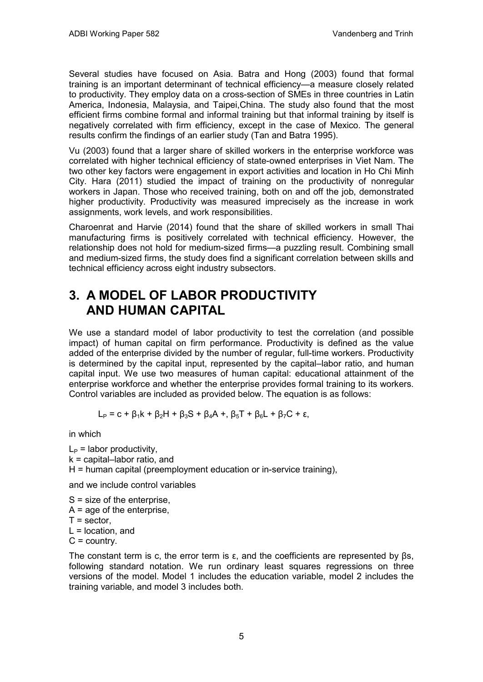Several studies have focused on Asia. Batra and Hong (2003) found that formal training is an important determinant of technical efficiency—a measure closely related to productivity. They employ data on a cross-section of SMEs in three countries in Latin America, Indonesia, Malaysia, and Taipei,China. The study also found that the most efficient firms combine formal and informal training but that informal training by itself is negatively correlated with firm efficiency, except in the case of Mexico. The general results confirm the findings of an earlier study (Tan and Batra 1995).

Vu (2003) found that a larger share of skilled workers in the enterprise workforce was correlated with higher technical efficiency of state-owned enterprises in Viet Nam. The two other key factors were engagement in export activities and location in Ho Chi Minh City. Hara (2011) studied the impact of training on the productivity of nonregular workers in Japan. Those who received training, both on and off the job, demonstrated higher productivity. Productivity was measured imprecisely as the increase in work assignments, work levels, and work responsibilities.

Charoenrat and Harvie (2014) found that the share of skilled workers in small Thai manufacturing firms is positively correlated with technical efficiency. However, the relationship does not hold for medium-sized firms—a puzzling result. Combining small and medium-sized firms, the study does find a significant correlation between skills and technical efficiency across eight industry subsectors.

### <span id="page-6-0"></span>**3. A MODEL OF LABOR PRODUCTIVITY AND HUMAN CAPITAL**

We use a standard model of labor productivity to test the correlation (and possible impact) of human capital on firm performance. Productivity is defined as the value added of the enterprise divided by the number of regular, full-time workers. Productivity is determined by the capital input, represented by the capital–labor ratio, and human capital input. We use two measures of human capital: educational attainment of the enterprise workforce and whether the enterprise provides formal training to its workers. Control variables are included as provided below. The equation is as follows:

L<sub>P</sub> = c +  $\beta_1$ k +  $\beta_2$ H +  $\beta_3$ S +  $\beta_4$ A +,  $\beta_5$ T +  $\beta_6$ L +  $\beta_7$ C + ε,

in which

 $L_P$  = labor productivity, k = capital–labor ratio, and  $H =$  human capital (preemployment education or in-service training),

and we include control variables

S = size of the enterprise,  $A = aq$ e of the enterprise,  $T =$  sector.  $L =$  location, and  $C =$  country.

The constant term is c, the error term is  $\varepsilon$ , and the coefficients are represented by  $\beta s$ , following standard notation. We run ordinary least squares regressions on three versions of the model. Model 1 includes the education variable, model 2 includes the training variable, and model 3 includes both.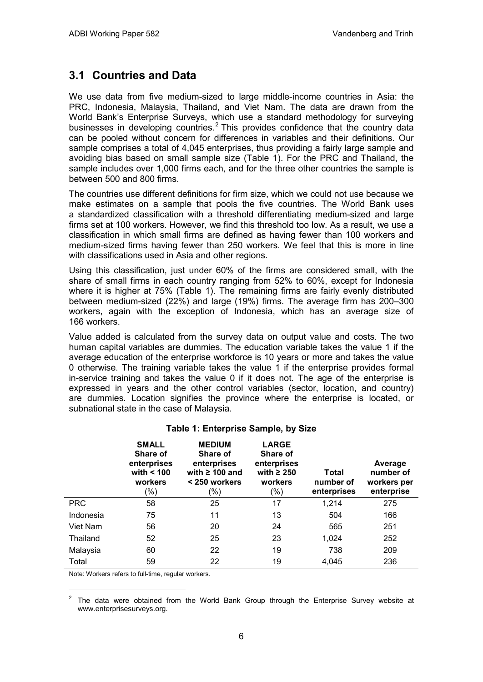### <span id="page-7-0"></span>**3.1 Countries and Data**

We use data from five medium-sized to large middle-income countries in Asia: the PRC, Indonesia, Malaysia, Thailand, and Viet Nam. The data are drawn from the World Bank's Enterprise Surveys, which use a standard methodology for surveying businesses in developing countries.[2](#page-7-1) This provides confidence that the country data can be pooled without concern for differences in variables and their definitions. Our sample comprises a total of 4,045 enterprises, thus providing a fairly large sample and avoiding bias based on small sample size (Table 1). For the PRC and Thailand, the sample includes over 1,000 firms each, and for the three other countries the sample is between 500 and 800 firms.

The countries use different definitions for firm size, which we could not use because we make estimates on a sample that pools the five countries. The World Bank uses a standardized classification with a threshold differentiating medium-sized and large firms set at 100 workers. However, we find this threshold too low. As a result, we use a classification in which small firms are defined as having fewer than 100 workers and medium-sized firms having fewer than 250 workers. We feel that this is more in line with classifications used in Asia and other regions.

Using this classification, just under 60% of the firms are considered small, with the share of small firms in each country ranging from 52% to 60%, except for Indonesia where it is higher at 75% (Table 1). The remaining firms are fairly evenly distributed between medium-sized (22%) and large (19%) firms. The average firm has 200–300 workers, again with the exception of Indonesia, which has an average size of 166 workers.

Value added is calculated from the survey data on output value and costs. The two human capital variables are dummies. The education variable takes the value 1 if the average education of the enterprise workforce is 10 years or more and takes the value 0 otherwise. The training variable takes the value 1 if the enterprise provides formal in-service training and takes the value 0 if it does not. The age of the enterprise is expressed in years and the other control variables (sector, location, and country) are dummies. Location signifies the province where the enterprise is located, or subnational state in the case of Malaysia.

|            | <b>SMALL</b><br>Share of<br>enterprises<br>with $< 100$<br>workers<br>$(\% )$ | <b>MEDIUM</b><br>Share of<br>enterprises<br>with $\geq 100$ and<br>< 250 workers<br>(%) | <b>LARGE</b><br>Share of<br>enterprises<br>with $\geq 250$<br>workers<br>(%) | Total<br>number of<br>enterprises | Average<br>number of<br>workers per<br>enterprise |
|------------|-------------------------------------------------------------------------------|-----------------------------------------------------------------------------------------|------------------------------------------------------------------------------|-----------------------------------|---------------------------------------------------|
| <b>PRC</b> | 58                                                                            | 25                                                                                      | 17                                                                           | 1,214                             | 275                                               |
| Indonesia  | 75                                                                            | 11                                                                                      | 13                                                                           | 504                               | 166                                               |
| Viet Nam   | 56                                                                            | 20                                                                                      | 24                                                                           | 565                               | 251                                               |
| Thailand   | 52                                                                            | 25                                                                                      | 23                                                                           | 1,024                             | 252                                               |
| Malaysia   | 60                                                                            | 22                                                                                      | 19                                                                           | 738                               | 209                                               |
| Total      | 59                                                                            | 22                                                                                      | 19                                                                           | 4,045                             | 236                                               |

### **Table 1: Enterprise Sample, by Size**

Note: Workers refers to full-time, regular workers.

 $\overline{a}$ 

<span id="page-7-1"></span> $2$  The data were obtained from the World Bank Group through the Enterprise Survey website at www.enterprisesurveys.org.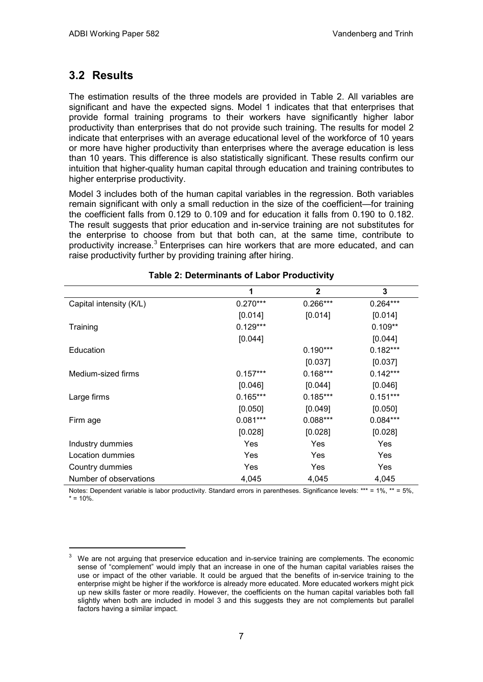### <span id="page-8-0"></span>**3.2 Results**

-

The estimation results of the three models are provided in Table 2. All variables are significant and have the expected signs. Model 1 indicates that that enterprises that provide formal training programs to their workers have significantly higher labor productivity than enterprises that do not provide such training. The results for model 2 indicate that enterprises with an average educational level of the workforce of 10 years or more have higher productivity than enterprises where the average education is less than 10 years. This difference is also statistically significant. These results confirm our intuition that higher-quality human capital through education and training contributes to higher enterprise productivity.

Model 3 includes both of the human capital variables in the regression. Both variables remain significant with only a small reduction in the size of the coefficient—for training the coefficient falls from 0.129 to 0.109 and for education it falls from 0.190 to 0.182. The result suggests that prior education and in-service training are not substitutes for the enterprise to choose from but that both can, at the same time, contribute to productivity increase.<sup>[3](#page-8-1)</sup> Enterprises can hire workers that are more educated, and can raise productivity further by providing training after hiring.

|                         | 1          | $\mathbf{2}$ | 3          |
|-------------------------|------------|--------------|------------|
| Capital intensity (K/L) | $0.270***$ | $0.266***$   | $0.264***$ |
|                         | [0.014]    | [0.014]      | [0.014]    |
| Training                | $0.129***$ |              | $0.109**$  |
|                         | [0.044]    |              | [0.044]    |
| Education               |            | $0.190***$   | $0.182***$ |
|                         |            | [0.037]      | [0.037]    |
| Medium-sized firms      | $0.157***$ | $0.168***$   | $0.142***$ |
|                         | [0.046]    | [0.044]      | [0.046]    |
| Large firms             | $0.165***$ | $0.185***$   | $0.151***$ |
|                         | [0.050]    | [0.049]      | [0.050]    |
| Firm age                | $0.081***$ | $0.088***$   | $0.084***$ |
|                         | [0.028]    | [0.028]      | [0.028]    |
| Industry dummies        | Yes        | Yes          | Yes        |
| Location dummies        | Yes        | Yes          | Yes        |
| Country dummies         | Yes        | Yes          | Yes        |
| Number of observations  | 4,045      | 4,045        | 4,045      |

#### **Table 2: Determinants of Labor Productivity**

Notes: Dependent variable is labor productivity. Standard errors in parentheses. Significance levels: \*\*\* = 1%, \*\* = 5%,  $* = 10\%$ .

<span id="page-8-1"></span> $3\;\;$  We are not arguing that preservice education and in-service training are complements. The economic sense of "complement" would imply that an increase in one of the human capital variables raises the use or impact of the other variable. It could be argued that the benefits of in-service training to the enterprise might be higher if the workforce is already more educated. More educated workers might pick up new skills faster or more readily. However, the coefficients on the human capital variables both fall slightly when both are included in model 3 and this suggests they are not complements but parallel factors having a similar impact.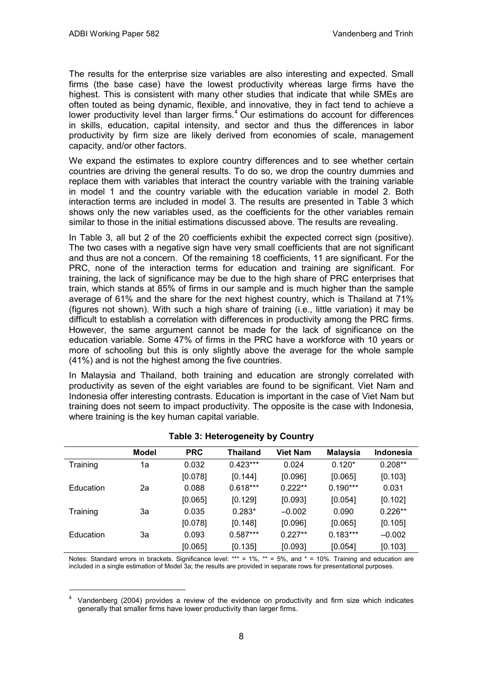$\overline{a}$ 

The results for the enterprise size variables are also interesting and expected. Small firms (the base case) have the lowest productivity whereas large firms have the highest. This is consistent with many other studies that indicate that while SMEs are often touted as being dynamic, flexible, and innovative, they in fact tend to achieve a lower productivity level than larger firms.<sup>[4](#page-9-0)</sup> Our estimations do account for differences in skills, education, capital intensity, and sector and thus the differences in labor productivity by firm size are likely derived from economies of scale, management capacity, and/or other factors.

We expand the estimates to explore country differences and to see whether certain countries are driving the general results. To do so, we drop the country dummies and replace them with variables that interact the country variable with the training variable in model 1 and the country variable with the education variable in model 2. Both interaction terms are included in model 3. The results are presented in Table 3 which shows only the new variables used, as the coefficients for the other variables remain similar to those in the initial estimations discussed above. The results are revealing.

In Table 3, all but 2 of the 20 coefficients exhibit the expected correct sign (positive). The two cases with a negative sign have very small coefficients that are not significant and thus are not a concern. Of the remaining 18 coefficients, 11 are significant. For the PRC, none of the interaction terms for education and training are significant. For training, the lack of significance may be due to the high share of PRC enterprises that train, which stands at 85% of firms in our sample and is much higher than the sample average of 61% and the share for the next highest country, which is Thailand at 71% (figures not shown). With such a high share of training (i.e., little variation) it may be difficult to establish a correlation with differences in productivity among the PRC firms. However, the same argument cannot be made for the lack of significance on the education variable. Some 47% of firms in the PRC have a workforce with 10 years or more of schooling but this is only slightly above the average for the whole sample (41%) and is not the highest among the five countries.

In Malaysia and Thailand, both training and education are strongly correlated with productivity as seven of the eight variables are found to be significant. Viet Nam and Indonesia offer interesting contrasts. Education is important in the case of Viet Nam but training does not seem to impact productivity. The opposite is the case with Indonesia, where training is the key human capital variable.

|           | <b>Model</b> | <b>PRC</b> | <b>Thailand</b> | <b>Viet Nam</b> | <b>Malaysia</b> | Indonesia |
|-----------|--------------|------------|-----------------|-----------------|-----------------|-----------|
| Training  | 1a           | 0.032      | $0.423***$      | 0.024           | $0.120*$        | $0.208**$ |
|           |              | [0.078]    | [0.144]         | [0.096]         | [0.065]         | [0.103]   |
| Education | 2a           | 0.088      | $0.618***$      | $0.222**$       | $0.190***$      | 0.031     |
|           |              | [0.065]    | [0.129]         | [0.093]         | [0.054]         | [0.102]   |
| Training  | За           | 0.035      | $0.283*$        | $-0.002$        | 0.090           | $0.226**$ |
|           |              | [0.078]    | [0.148]         | [0.096]         | [0.065]         | [0.105]   |
| Education | Зa           | 0.093      | $0.587***$      | $0.227**$       | $0.183***$      | $-0.002$  |
|           |              | [0.065]    | [0.135]         | [0.093]         | [0.054]         | [0.103]   |

### **Table 3: Heterogeneity by Country**

Notes: Standard errors in brackets. Significance level: \*\*\* = 1%, \*\* = 5%, and \* = 10%. Training and education are included in a single estimation of Model 3a; the results are provided in separate rows for presentational purposes.

<span id="page-9-0"></span><sup>4</sup> Vandenberg (2004) provides a review of the evidence on productivity and firm size which indicates generally that smaller firms have lower productivity than larger firms.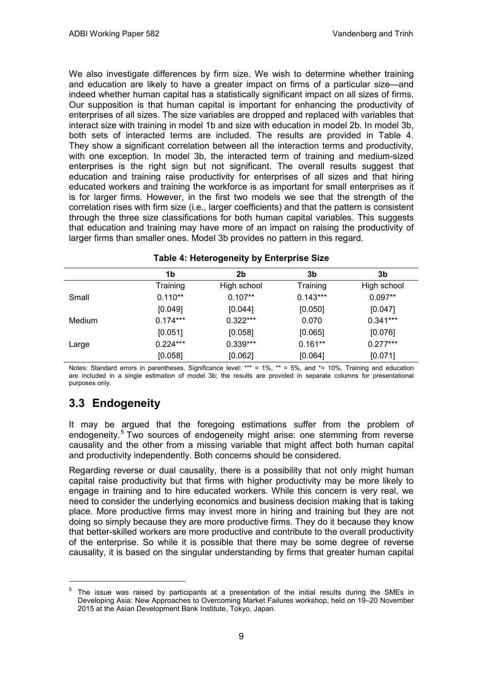We also investigate differences by firm size. We wish to determine whether training and education are likely to have a greater impact on firms of a particular size—and indeed whether human capital has a statistically significant impact on all sizes of firms. Our supposition is that human capital is important for enhancing the productivity of enterprises of all sizes. The size variables are dropped and replaced with variables that interact size with training in model 1b and size with education in model 2b. In model 3b, both sets of interacted terms are included. The results are provided in Table 4. They show a significant correlation between all the interaction terms and productivity, with one exception. In model 3b, the interacted term of training and medium-sized enterprises is the right sign but not significant. The overall results suggest that education and training raise productivity for enterprises of all sizes and that hiring educated workers and training the workforce is as important for small enterprises as it is for larger firms. However, in the first two models we see that the strength of the correlation rises with firm size (i.e., larger coefficients) and that the pattern is consistent through the three size classifications for both human capital variables. This suggests that education and training may have more of an impact on raising the productivity of larger firms than smaller ones. Model 3b provides no pattern in this regard.

|        | 1b         | 2b          | 3b         | 3b          |
|--------|------------|-------------|------------|-------------|
|        | Training   | High school | Training   | High school |
| Small  | $0.110**$  | $0.107**$   | $0.143***$ | $0.097**$   |
|        | [0.049]    | [0.044]     | [0.050]    | [0.047]     |
| Medium | $0.174***$ | $0.322***$  | 0.070      | $0.341***$  |
|        | [0.051]    | [0.058]     | [0.065]    | [0.076]     |
| Large  | $0.224***$ | $0.339***$  | $0.161**$  | $0.277***$  |
|        | [0.058]    | [0.062]     | [0.064]    | [0.071]     |

|  |  |  | Table 4: Heterogeneity by Enterprise Size |  |
|--|--|--|-------------------------------------------|--|
|--|--|--|-------------------------------------------|--|

Notes: Standard errors in parentheses. Significance level: \*\*\* = 1%, \*\* = 5%, and \*= 10%. Training and education are included in a single estimation of model 3b; the results are provided in separate columns for presentational purposes only.

### <span id="page-10-0"></span>**3.3 Endogeneity**

 $\overline{a}$ 

It may be argued that the foregoing estimations suffer from the problem of endogeneity.<sup>[5](#page-10-1)</sup> Two sources of endogeneity might arise: one stemming from reverse causality and the other from a missing variable that might affect both human capital and productivity independently. Both concerns should be considered.

Regarding reverse or dual causality, there is a possibility that not only might human capital raise productivity but that firms with higher productivity may be more likely to engage in training and to hire educated workers. While this concern is very real, we need to consider the underlying economics and business decision making that is taking place. More productive firms may invest more in hiring and training but they are not doing so simply because they are more productive firms. They do it because they know that better-skilled workers are more productive and contribute to the overall productivity of the enterprise. So while it is possible that there may be some degree of reverse causality, it is based on the singular understanding by firms that greater human capital

<span id="page-10-1"></span> $5$  The issue was raised by participants at a presentation of the initial results during the SMEs in Developing Asia: New Approaches to Overcoming Market Failures workshop, held on 19–20 November 2015 at the Asian Development Bank Institute, Tokyo, Japan.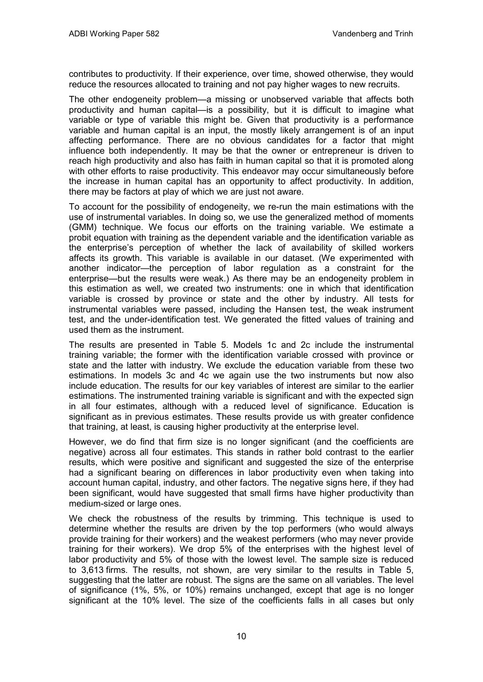contributes to productivity. If their experience, over time, showed otherwise, they would reduce the resources allocated to training and not pay higher wages to new recruits.

The other endogeneity problem—a missing or unobserved variable that affects both productivity and human capital—is a possibility, but it is difficult to imagine what variable or type of variable this might be. Given that productivity is a performance variable and human capital is an input, the mostly likely arrangement is of an input affecting performance. There are no obvious candidates for a factor that might influence both independently. It may be that the owner or entrepreneur is driven to reach high productivity and also has faith in human capital so that it is promoted along with other efforts to raise productivity. This endeavor may occur simultaneously before the increase in human capital has an opportunity to affect productivity. In addition, there may be factors at play of which we are just not aware.

To account for the possibility of endogeneity, we re-run the main estimations with the use of instrumental variables. In doing so, we use the generalized method of moments (GMM) technique. We focus our efforts on the training variable. We estimate a probit equation with training as the dependent variable and the identification variable as the enterprise's perception of whether the lack of availability of skilled workers affects its growth. This variable is available in our dataset. (We experimented with another indicator—the perception of labor regulation as a constraint for the enterprise—but the results were weak.) As there may be an endogeneity problem in this estimation as well, we created two instruments: one in which that identification variable is crossed by province or state and the other by industry. All tests for instrumental variables were passed, including the Hansen test, the weak instrument test, and the under-identification test. We generated the fitted values of training and used them as the instrument.

The results are presented in Table 5. Models 1c and 2c include the instrumental training variable; the former with the identification variable crossed with province or state and the latter with industry. We exclude the education variable from these two estimations. In models 3c and 4c we again use the two instruments but now also include education. The results for our key variables of interest are similar to the earlier estimations. The instrumented training variable is significant and with the expected sign in all four estimates, although with a reduced level of significance. Education is significant as in previous estimates. These results provide us with greater confidence that training, at least, is causing higher productivity at the enterprise level.

However, we do find that firm size is no longer significant (and the coefficients are negative) across all four estimates. This stands in rather bold contrast to the earlier results, which were positive and significant and suggested the size of the enterprise had a significant bearing on differences in labor productivity even when taking into account human capital, industry, and other factors. The negative signs here, if they had been significant, would have suggested that small firms have higher productivity than medium-sized or large ones.

We check the robustness of the results by trimming. This technique is used to determine whether the results are driven by the top performers (who would always provide training for their workers) and the weakest performers (who may never provide training for their workers). We drop 5% of the enterprises with the highest level of labor productivity and 5% of those with the lowest level. The sample size is reduced to 3,613 firms. The results, not shown, are very similar to the results in Table 5, suggesting that the latter are robust. The signs are the same on all variables. The level of significance (1%, 5%, or 10%) remains unchanged, except that age is no longer significant at the 10% level. The size of the coefficients falls in all cases but only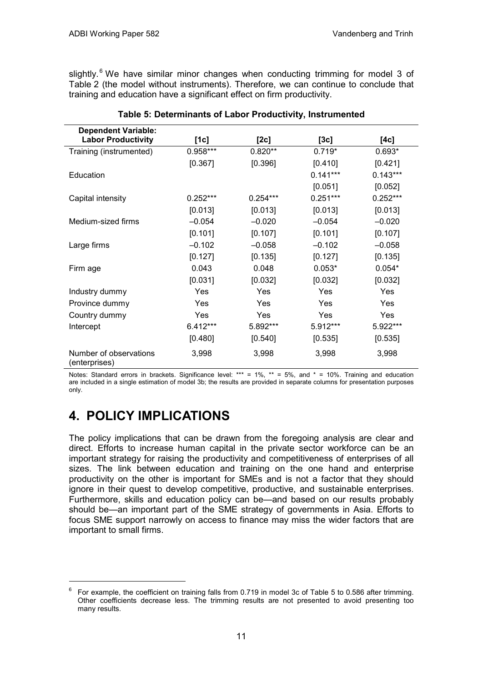slightly. $6$  We have similar minor changes when conducting trimming for model 3 of Table 2 (the model without instruments). Therefore, we can continue to conclude that training and education have a significant effect on firm productivity.

| <b>Dependent Variable:</b>              |            |            |            |            |
|-----------------------------------------|------------|------------|------------|------------|
| <b>Labor Productivity</b>               | [1c]       | [2c]       | [3c]       | [4c]       |
| Training (instrumented)                 | $0.958***$ | $0.820**$  | $0.719*$   | $0.693*$   |
|                                         | [0.367]    | [0.396]    | [0.410]    | [0.421]    |
| Education                               |            |            | $0.141***$ | $0.143***$ |
|                                         |            |            | [0.051]    | [0.052]    |
| Capital intensity                       | $0.252***$ | $0.254***$ | $0.251***$ | $0.252***$ |
|                                         | [0.013]    | [0.013]    | [0.013]    | [0.013]    |
| Medium-sized firms                      | $-0.054$   | $-0.020$   | $-0.054$   | $-0.020$   |
|                                         | [0.101]    | [0.107]    | [0.101]    | [0.107]    |
| Large firms                             | $-0.102$   | $-0.058$   | $-0.102$   | $-0.058$   |
|                                         | [0.127]    | [0.135]    | [0.127]    | [0.135]    |
| Firm age                                | 0.043      | 0.048      | $0.053*$   | $0.054*$   |
|                                         | [0.031]    | [0.032]    | [0.032]    | [0.032]    |
| Industry dummy                          | Yes        | Yes        | Yes        | Yes        |
| Province dummy                          | <b>Yes</b> | Yes        | Yes        | Yes        |
| Country dummy                           | <b>Yes</b> | Yes        | Yes        | Yes        |
| Intercept                               | $6.412***$ | 5.892***   | 5.912***   | 5.922***   |
|                                         | [0.480]    | [0.540]    | [0.535]    | [0.535]    |
| Number of observations<br>(enterprises) | 3,998      | 3,998      | 3,998      | 3,998      |

Notes: Standard errors in brackets. Significance level: \*\*\* =  $1\%$ , \*\* =  $5\%$ , and \* =  $10\%$ . Training and education are included in a single estimation of model 3b; the results are provided in separate columns for presentation purposes only.

## <span id="page-12-0"></span>**4. POLICY IMPLICATIONS**

 $\overline{a}$ 

The policy implications that can be drawn from the foregoing analysis are clear and direct. Efforts to increase human capital in the private sector workforce can be an important strategy for raising the productivity and competitiveness of enterprises of all sizes. The link between education and training on the one hand and enterprise productivity on the other is important for SMEs and is not a factor that they should ignore in their quest to develop competitive, productive, and sustainable enterprises. Furthermore, skills and education policy can be—and based on our results probably should be—an important part of the SME strategy of governments in Asia. Efforts to focus SME support narrowly on access to finance may miss the wider factors that are important to small firms.

<span id="page-12-1"></span> $6$  For example, the coefficient on training falls from 0.719 in model 3c of Table 5 to 0.586 after trimming. Other coefficients decrease less. The trimming results are not presented to avoid presenting too many results.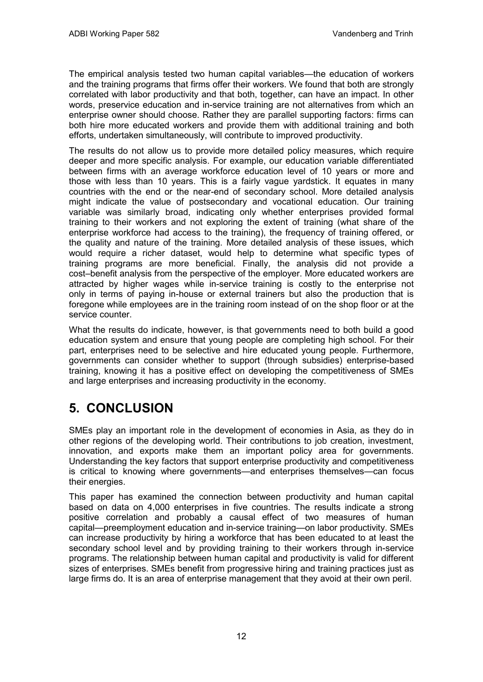The empirical analysis tested two human capital variables—the education of workers and the training programs that firms offer their workers. We found that both are strongly correlated with labor productivity and that both, together, can have an impact. In other words, preservice education and in-service training are not alternatives from which an enterprise owner should choose. Rather they are parallel supporting factors: firms can both hire more educated workers and provide them with additional training and both efforts, undertaken simultaneously, will contribute to improved productivity.

The results do not allow us to provide more detailed policy measures, which require deeper and more specific analysis. For example, our education variable differentiated between firms with an average workforce education level of 10 years or more and those with less than 10 years. This is a fairly vague yardstick. It equates in many countries with the end or the near-end of secondary school. More detailed analysis might indicate the value of postsecondary and vocational education. Our training variable was similarly broad, indicating only whether enterprises provided formal training to their workers and not exploring the extent of training (what share of the enterprise workforce had access to the training), the frequency of training offered, or the quality and nature of the training. More detailed analysis of these issues, which would require a richer dataset, would help to determine what specific types of training programs are more beneficial. Finally, the analysis did not provide a cost–benefit analysis from the perspective of the employer. More educated workers are attracted by higher wages while in-service training is costly to the enterprise not only in terms of paying in-house or external trainers but also the production that is foregone while employees are in the training room instead of on the shop floor or at the service counter.

What the results do indicate, however, is that governments need to both build a good education system and ensure that young people are completing high school. For their part, enterprises need to be selective and hire educated young people. Furthermore, governments can consider whether to support (through subsidies) enterprise-based training, knowing it has a positive effect on developing the competitiveness of SMEs and large enterprises and increasing productivity in the economy.

## <span id="page-13-0"></span>**5. CONCLUSION**

SMEs play an important role in the development of economies in Asia, as they do in other regions of the developing world. Their contributions to job creation, investment, innovation, and exports make them an important policy area for governments. Understanding the key factors that support enterprise productivity and competitiveness is critical to knowing where governments—and enterprises themselves—can focus their energies.

This paper has examined the connection between productivity and human capital based on data on 4,000 enterprises in five countries. The results indicate a strong positive correlation and probably a causal effect of two measures of human capital—preemployment education and in-service training—on labor productivity. SMEs can increase productivity by hiring a workforce that has been educated to at least the secondary school level and by providing training to their workers through in-service programs. The relationship between human capital and productivity is valid for different sizes of enterprises. SMEs benefit from progressive hiring and training practices just as large firms do. It is an area of enterprise management that they avoid at their own peril.